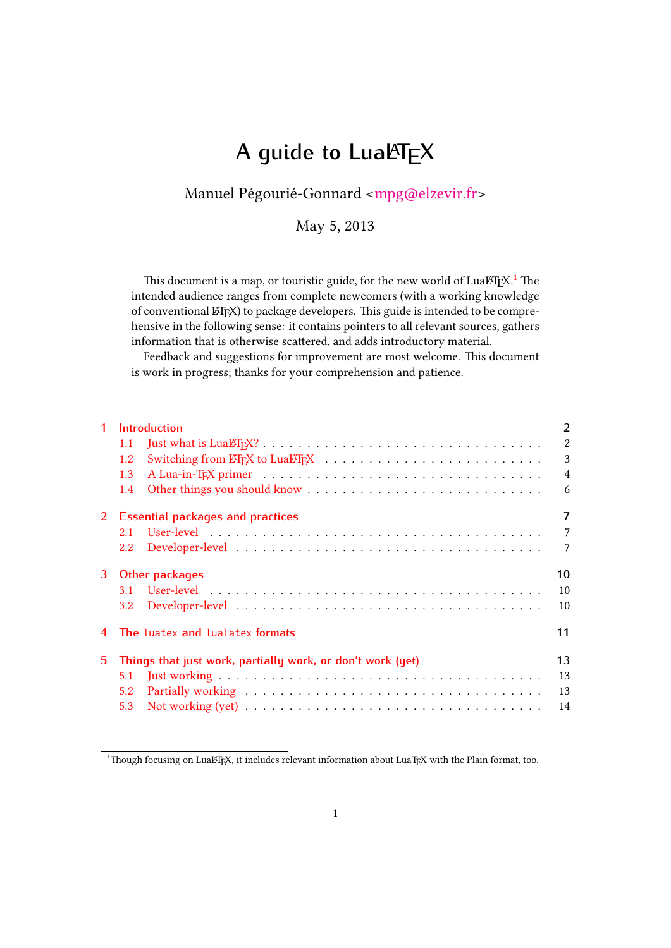# **A guide to LuaLATEX**

# Manuel Pégourié-Gonnard [<mpg@elzevir.fr>](mailto:mpg@elzevir.fr)

May 5, 2013

This document is a map, or touristic guide, for the new world of LuaL $E$ F<sub>X</sub>.<sup>[1](#page-0-0)</sup> The intended audience ranges from complete newcomers (with a working knowledge of conventional LHFX) to package developers. This guide is intended to be comprehensive in the following sense: it contains pointers to all relevant sources, gathers information that is otherwise scattered, and adds introductory material.

Feedback and suggestions for improvement are most welcome. This document is work in progress; thanks for your comprehension and patience.

| $\mathbf{1}$ | <b>Introduction</b>                                        |                                   |                |  |  |  |
|--------------|------------------------------------------------------------|-----------------------------------|----------------|--|--|--|
|              | 1.1                                                        |                                   | $\overline{2}$ |  |  |  |
|              | 1.2                                                        |                                   | 3              |  |  |  |
|              | 1.3                                                        |                                   | $\overline{4}$ |  |  |  |
|              | 1.4                                                        |                                   | 6              |  |  |  |
| $2^{\circ}$  | <b>Essential packages and practices</b>                    |                                   |                |  |  |  |
|              | 2.1                                                        |                                   | $\overline{7}$ |  |  |  |
|              | $2.2^{\circ}$                                              |                                   | 7              |  |  |  |
|              | 3 Other packages                                           |                                   |                |  |  |  |
|              | 3.1                                                        |                                   | 10             |  |  |  |
|              | $3.2^{\circ}$                                              |                                   | 10             |  |  |  |
|              |                                                            | 4 The luatex and lualatex formats | 11             |  |  |  |
| 5.           | Things that just work, partially work, or don't work (yet) |                                   |                |  |  |  |
|              | 5.1                                                        |                                   | 13             |  |  |  |
|              | 5.2                                                        |                                   | 13             |  |  |  |
|              | 5.3                                                        |                                   | 14             |  |  |  |

<span id="page-0-0"></span><sup>&</sup>lt;sup>1</sup>Though focusing on LuaLTEX, it includes relevant information about LuaTEX with the Plain format, too.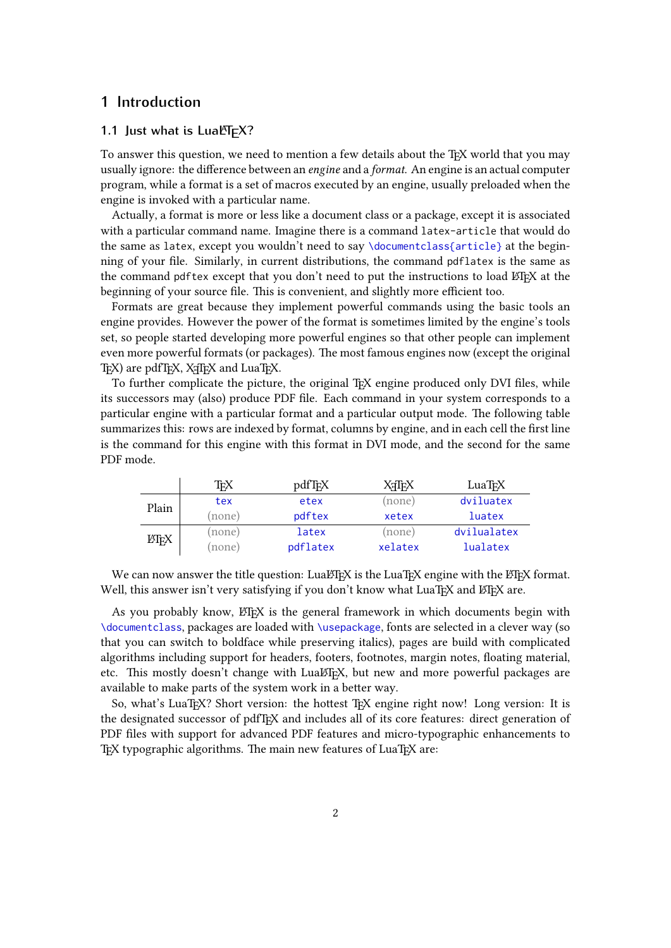# <span id="page-1-0"></span>**1 Introduction**

## <span id="page-1-1"></span>1.1 Just what is LuaLT<sub>F</sub>X?

To answer this question, we need to mention a few details about the T<sub>EX</sub> world that you may usually ignore: the difference between an *engine* and a *format*. An engine is an actual computer program, while a format is a set of macros executed by an engine, usually preloaded when the engine is invoked with a particular name.

Actually, a format is more or less like a document class or a package, except it is associated with a particular command name. Imagine there is a command latex-article that would do the same as latex, except you wouldn't need to say \documentclass{article} at the beginning of your file. Similarly, in current distributions, the command pdflatex is the same as the command pdftex except that you don't need to put the instructions to load ETEX at the beginning of your source file. This is convenient, and slightly more efficient too.

Formats are great because they implement powerful commands using the basic tools an engine provides. However the power of the format is sometimes limited by the engine's tools set, so people started developing more powerful engines so that other people can implement even more powerful formats (or packages). The most famous engines now (except the original TEX) are pdfTEX, XFIEX and LuaTEX.

To further complicate the picture, the original TEX engine produced only DVI files, while its successors may (also) produce PDF file. Each command in your system corresponds to a particular engine with a particular format and a particular output mode. The following table summarizes this: rows are indexed by format, columns by engine, and in each cell the first line is the command for this engine with this format in DVI mode, and the second for the same PDF mode.

|                    | ТFX    | pdfT <sub>F</sub> X | XATEX   | LuaT <sub>F</sub> X |
|--------------------|--------|---------------------|---------|---------------------|
| Plain              | tex    | etex                | (none)  | dviluatex           |
|                    | (none) | pdftex              | xetex   | luatex              |
| LAT <sub>F</sub> X | (none) | latex               | (none)  | dvilualatex         |
|                    | (none) | pdflatex            | xelatex | lualatex            |

We can now answer the title question: LuaLTEX is the LuaTEX engine with the LATEX format. Well, this answer isn't very satisfying if you don't know what LuaTEX and ETEX are.

As you probably know,  $\mathbb{E} \mathbb{I} \mathbb{R}$  is the general framework in which documents begin with \documentclass, packages are loaded with \usepackage, fonts are selected in a clever way (so that you can switch to boldface while preserving italics), pages are build with complicated algorithms including support for headers, footers, footnotes, margin notes, floating material, etc. This mostly doesn't change with Lua $\mathbb{E}E$ <sub>X</sub>, but new and more powerful packages are available to make parts of the system work in a better way.

So, what's LuaTEX? Short version: the hottest TEX engine right now! Long version: It is the designated successor of pdfTEX and includes all of its core features: direct generation of PDF files with support for advanced PDF features and micro-typographic enhancements to TEX typographic algorithms. The main new features of LuaTEX are: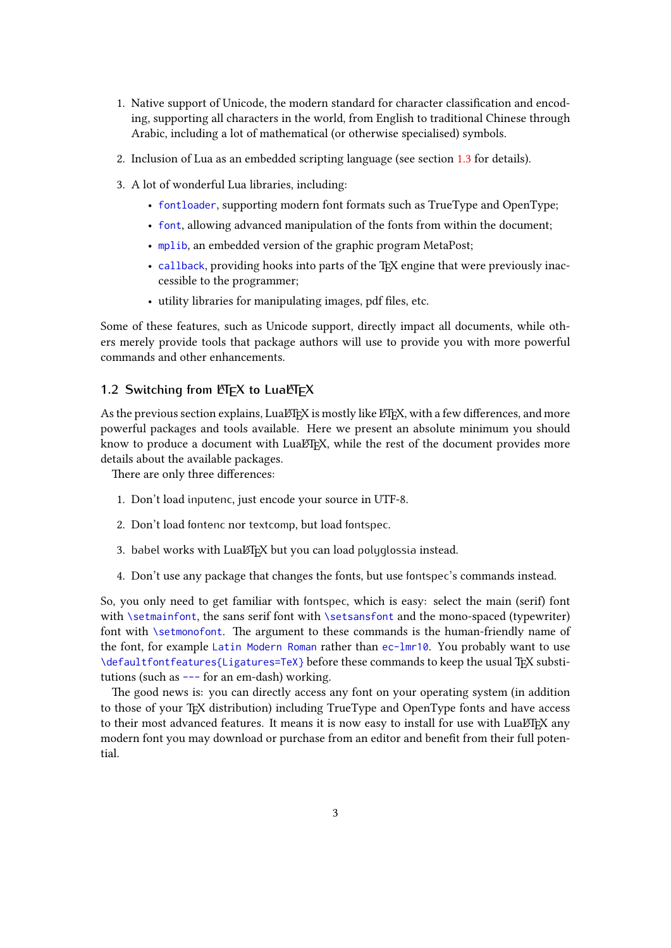- 1. Native support of Unicode, the modern standard for character classification and encoding, supporting all characters in the world, from English to traditional Chinese through Arabic, including a lot of mathematical (or otherwise specialised) symbols.
- 2. Inclusion of Lua as an embedded scripting language (see section [1.3](#page-3-0) for details).
- 3. A lot of wonderful Lua libraries, including:
	- fontloader, supporting modern font formats such as TrueType and OpenType;
	- font, allowing advanced manipulation of the fonts from within the document;
	- mplib, an embedded version of the graphic program MetaPost;
	- callback, providing hooks into parts of the TEX engine that were previously inaccessible to the programmer;
	- utility libraries for manipulating images, pdf files, etc.

Some of these features, such as Unicode support, directly impact all documents, while others merely provide tools that package authors will use to provide you with more powerful commands and other enhancements.

## <span id="page-2-0"></span>1.2 Switching from **LA**<sub>F</sub>X</sup> to LuaL<sub>FX</sub>

As the previous section explains, Lua $E$ FEX is mostly like  $E$ FEX, with a few differences, and more powerful packages and tools available. Here we present an absolute minimum you should know to produce a document with LuaLTEX, while the rest of the document provides more details about the available packages.

There are only three differences:

- 1. Don't load inputenc, just encode your source in UTF-8.
- 2. Don't load fontenc nor textcomp, but load fontspec.
- 3. babel works with LuaLTEX but you can load polyglossia instead.
- 4. Don't use any package that changes the fonts, but use fontspec's commands instead.

So, you only need to get familiar with fontspec, which is easy: select the main (serif) font with \setmainfont, the sans serif font with \setsansfont and the mono-spaced (typewriter) font with *\setmonofont*. The argument to these commands is the human-friendly name of the font, for example Latin Modern Roman rather than ec-lmr10. You probably want to use \defaultfontfeatures{Ligatures=TeX} before these commands to keep the usual TEX substitutions (such as --- for an em-dash) working.

The good news is: you can directly access any font on your operating system (in addition to those of your T<sub>F</sub>X distribution) including TrueType and OpenType fonts and have access to their most advanced features. It means it is now easy to install for use with LuaLTEX any modern font you may download or purchase from an editor and benefit from their full potential.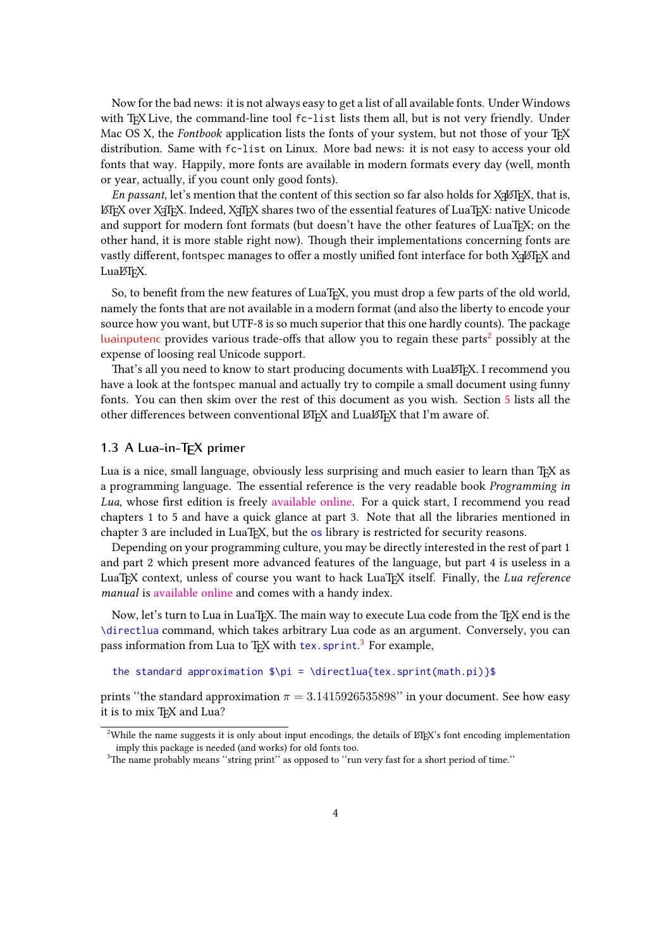Now for the bad news: it is not always easy to get a list of all available fonts. Under Windows with TEX Live, the command-line tool fc-list lists them all, but is not very friendly. Under Mac OS X, the Fontbook application lists the fonts of your system, but not those of your T<sub>EX</sub> distribution. Same with fc-list on Linux. More bad news: it is not easy to access your old fonts that way. Happily, more fonts are available in modern formats every day (well, month or year, actually, if you count only good fonts).

*En passant*, let's mention that the content of this section so far also holds for X $\frac{1}{2}$ FEX, that is, LATEX over XTEEX. Indeed, XTEX shares two of the essential features of LuaTEX: native Unicode and support for modern font formats (but doesn't have the other features of LuaT<sub>EX</sub>; on the other hand, it is more stable right now). 吀ough their implementations concerning fonts are vastly different, fontspec manages to offer a mostly unified font interface for both  $\rm X\#7EX$  and LuaLT<sub>E</sub>X.

So, to benefit from the new features of LuaT<sub>EX</sub>, you must drop a few parts of the old world, namely the fonts that are not available in a modern format (and also the liberty to encode your source how you want, but UTF-8 is so much superior that this one hardly counts). The package [luainputenc](#page-9-3) provides various trade-offs that allow you to regain these parts<sup>[2](#page-3-1)</sup> possibly at the expense of loosing real Unicode support.

That's all you need to know to start producing documents with LuaLTEX. I recommend you have a look at the fontspec manual and actually try to compile a small document using funny fonts. You can then skim over the rest of this document as you wish. Section [5](#page-12-0) lists all the other differences between conventional LATEX and LuaLATEX that I'm aware of.

#### <span id="page-3-0"></span>**1.3 A Lua-in-TEX primer**

Lua is a nice, small language, obviously less surprising and much easier to learn than TFX as a programming language. The essential reference is the very readable book *Programming in* Lua, whose first edition is freely [available online.](http://www.lua.org/pil/) For a quick start, I recommend you read chapters 1 to 5 and have a quick glance at part 3. Note that all the libraries mentioned in chapter 3 are included in LuaT<sub>E</sub>X, but the os library is restricted for security reasons.

Depending on your programming culture, you may be directly interested in the rest of part 1 and part 2 which present more advanced features of the language, but part 4 is useless in a LuaTEX context, unless of course you want to hack LuaTEX itself. Finally, the Lua reference manual is [available online](http://www.lua.org/manual/5.2/) and comes with a handy index.

Now, let's turn to Lua in LuaTEX. The main way to execute Lua code from the TEX end is the \directlua command, which takes arbitrary Lua code as an argument. Conversely, you can pass information from Lua to T<sub>E</sub>X with tex. sprint.<sup>[3](#page-3-2)</sup> For example,

```
the standard approximation \pi = \doteq \csc{textuaf} tex.sprint(math.pi)}$
```
prints "the standard approximation  $\pi = 3.1415926535898"$  in your document. See how easy it is to mix TEX and Lua?

<span id="page-3-1"></span><sup>&</sup>lt;sup>2</sup>While the name suggests it is only about input encodings, the details of ETEX's font encoding implementation imply this package is needed (and works) for old fonts too.

<span id="page-3-2"></span><sup>&</sup>lt;sup>3</sup>The name probably means "string print" as opposed to "run very fast for a short period of time."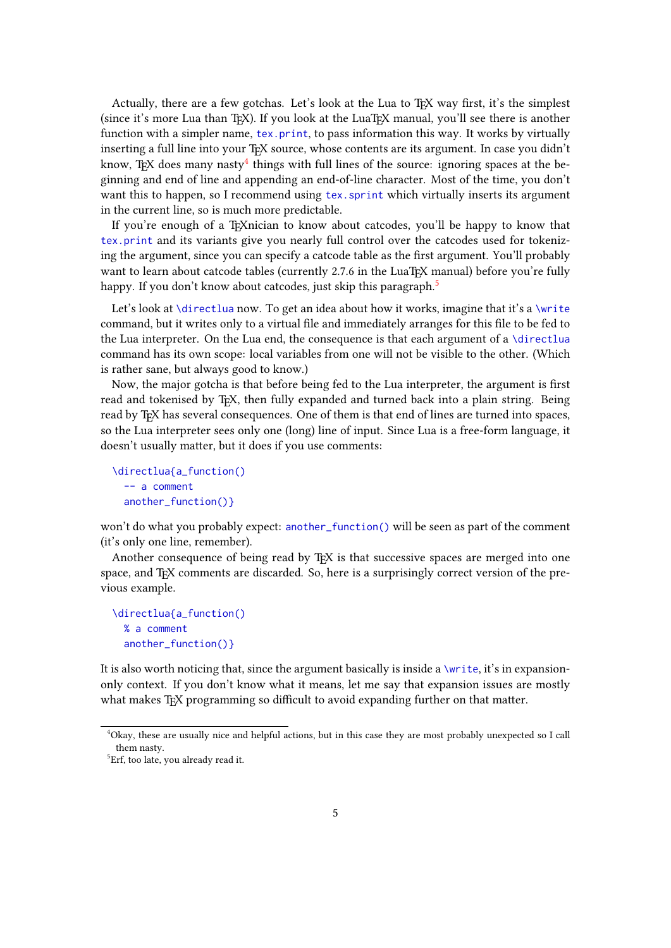Actually, there are a few gotchas. Let's look at the Lua to T<sub>EX</sub> way first, it's the simplest (since it's more Lua than TEX). If you look at the LuaTEX manual, you'll see there is another function with a simpler name, tex.print, to pass information this way. It works by virtually inserting a full line into your T<sub>E</sub>X source, whose contents are its argument. In case you didn't know, TEX does many nasty $^4$  $^4$  things with full lines of the source: ignoring spaces at the beginning and end of line and appending an end-of-line character. Most of the time, you don't want this to happen, so I recommend using tex. sprint which virtually inserts its argument in the current line, so is much more predictable.

If you're enough of a TEXnician to know about catcodes, you'll be happy to know that tex.print and its variants give you nearly full control over the catcodes used for tokenizing the argument, since you can specify a catcode table as the first argument. You'll probably want to learn about catcode tables (currently 2.7.6 in the LuaT<sub>EX</sub> manual) before you're fully happy. If you don't know about catcodes, just skip this paragraph.<sup>[5](#page-4-1)</sup>

Let's look at \directlua now. To get an idea about how it works, imagine that it's a \write command, but it writes only to a virtual file and immediately arranges for this file to be fed to the Lua interpreter. On the Lua end, the consequence is that each argument of a \directlua command has its own scope: local variables from one will not be visible to the other. (Which is rather sane, but always good to know.)

Now, the major gotcha is that before being fed to the Lua interpreter, the argument is first read and tokenised by TEX, then fully expanded and turned back into a plain string. Being read by TFX has several consequences. One of them is that end of lines are turned into spaces, so the Lua interpreter sees only one (long) line of input. Since Lua is a free-form language, it doesn't usually matter, but it does if you use comments:

```
\directlua{a_function()
 -- a comment
 another_function()}
```
won't do what you probably expect: another\_function() will be seen as part of the comment (it's only one line, remember).

Another consequence of being read by T<sub>F</sub>X is that successive spaces are merged into one space, and T<sub>E</sub>X comments are discarded. So, here is a surprisingly correct version of the previous example.

```
\directlua{a_function()
 % a comment
 another_function()}
```
It is also worth noticing that, since the argument basically is inside a  $\write$ , it's in expansiononly context. If you don't know what it means, let me say that expansion issues are mostly what makes T<sub>EX</sub> programming so difficult to avoid expanding further on that matter.

<span id="page-4-0"></span><sup>4</sup>Okay, these are usually nice and helpful actions, but in this case they are most probably unexpected so I call them nasty.

<span id="page-4-1"></span><sup>&</sup>lt;sup>5</sup>Erf, too late, you already read it.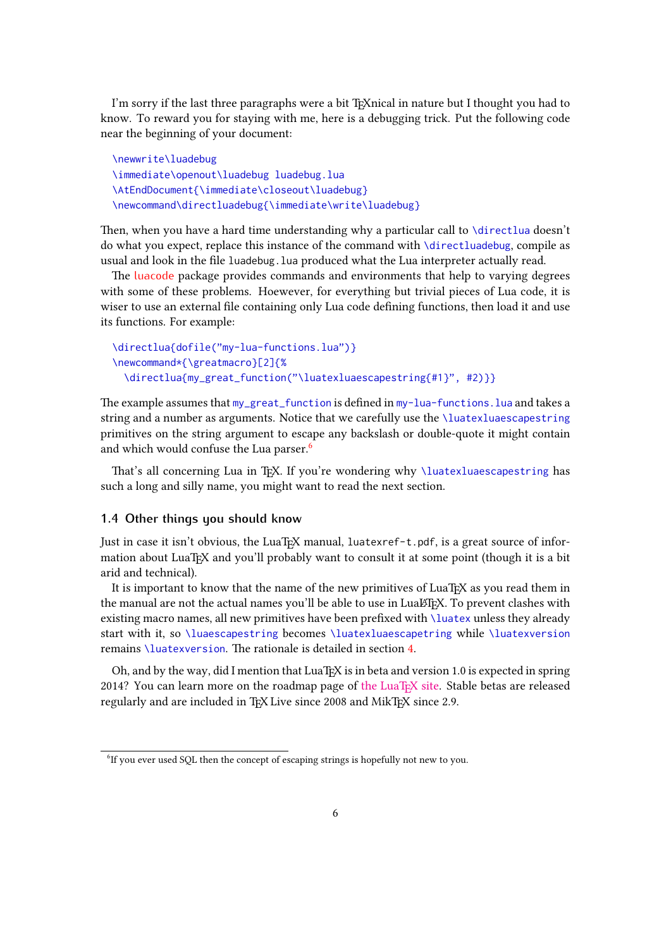I'm sorry if the last three paragraphs were a bit TrXnical in nature but I thought you had to know. To reward you for staying with me, here is a debugging trick. Put the following code near the beginning of your document:

```
\newwrite\luadebug
\immediate\openout\luadebug luadebug.lua
\AtEndDocument{\immediate\closeout\luadebug}
\newcommand\directluadebug{\immediate\write\luadebug}
```
Then, when you have a hard time understanding why a particular call to \directlua doesn't do what you expect, replace this instance of the command with \directluadebug, compile as usual and look in the file luadebug.lua produced what the Lua interpreter actually read.

The [luacode](#page-9-4) package provides commands and environments that help to varying degrees with some of these problems. Hoewever, for everything but trivial pieces of Lua code, it is wiser to use an external file containing only Lua code defining functions, then load it and use its functions. For example:

```
\directlua{dofile("my-lua-functions.lua")}
\newcommand*{\greatmacro}[2]{%
  \directlua{my_great_function("\luatexluaescapestring{#1}", #2)}}
```
The example assumes that my\_great\_function is defined in my-lua-functions. lua and takes a string and a number as arguments. Notice that we carefully use the \luatexluaescapestring primitives on the string argument to escape any backslash or double-quote it might contain and which would confuse the Lua parser.<sup>[6](#page-5-1)</sup>

That's all concerning Lua in T<sub>EX</sub>. If you're wondering why  $\langle \langle \rangle$  luatexluaescapestring has such a long and silly name, you might want to read the next section.

#### <span id="page-5-0"></span>**1.4 Other things you should know**

Just in case it isn't obvious, the LuaTEX manual, luatexref-t.pdf, is a great source of information about LuaT<sub>E</sub>X and you'll probably want to consult it at some point (though it is a bit arid and technical).

It is important to know that the name of the new primitives of LuaT<sub>EX</sub> as you read them in the manual are not the actual names you'll be able to use in Lual T<sub>E</sub>X. To prevent clashes with existing macro names, all new primitives have been prefixed with \luatex unless they already start with it, so \luaescapestring becomes \luatexluaescapetring while \luatexversion remains \luatexversion. The rationale is detailed in section [4.](#page-10-0)

Oh, and by the way, did I mention that LuaT<sub>E</sub>X is in beta and version 1.0 is expected in spring 2014? You can learn more on the roadmap page of [the LuaTEX site.](http://luatex.org/) Stable betas are released regularly and are included in TFX Live since 2008 and MikTFX since 2.9.

<span id="page-5-1"></span><sup>&</sup>lt;sup>6</sup>If you ever used SQL then the concept of escaping strings is hopefully not new to you.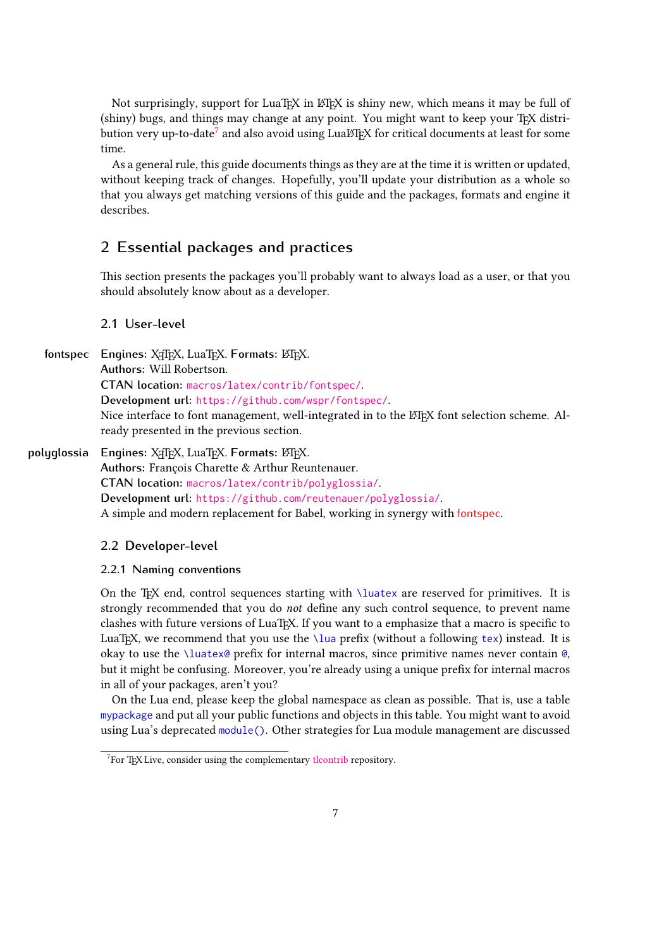Not surprisingly, support for LuaT<sub>EX</sub> in ET<sub>EX</sub> is shiny new, which means it may be full of (shiny) bugs, and things may change at any point. You might want to keep your TFX distribution very up-to-date $^7$  $^7$  and also avoid using Lual⁄AEX for critical documents at least for some time.

As a general rule, this guide documents things as they are at the time it is written or updated, without keeping track of changes. Hopefully, you'll update your distribution as a whole so that you always get matching versions of this guide and the packages, formats and engine it describes.

# <span id="page-6-0"></span>**2 Essential packages and practices**

This section presents the packages you'll probably want to always load as a user, or that you should absolutely know about as a developer.

### <span id="page-6-4"></span><span id="page-6-1"></span>**2.1 User-level**

**fontspec** Engines: X<sub>T</sub>T<sub>E</sub>X, LuaTEX, Formats: LTEX. **Authors:** Will Robertson. **CTAN location:** [macros/latex/contrib/fontspec/](http://mirror.ctan.org/macros/latex/contrib/fontspec/). **Development url:** <https://github.com/wspr/fontspec/>. Nice interface to font management, well-integrated in to the LATEX font selection scheme. Already presented in the previous section.

polyglossia Engines: X<sub>T</sub>TEX, LuaTEX. Formats: LATEX. Authors: François Charette & Arthur Reuntenauer. **CTAN location:** [macros/latex/contrib/polyglossia/](http://mirror.ctan.org/macros/latex/contrib/polyglossia/). **Development url:** <https://github.com/reutenauer/polyglossia/>. A simple and modern replacement for Babel, working in synergy with [fontspec](#page-6-4).

#### <span id="page-6-2"></span>**2.2 Developer-level**

#### **2.2.1 Naming conventions**

On the TEX end, control sequences starting with *\luatex* are reserved for primitives. It is strongly recommended that you do not define any such control sequence, to prevent name clashes with future versions of LuaTEX. If you want to a emphasize that a macro is specific to LuaT<sub>E</sub>X, we recommend that you use the \lua prefix (without a following tex) instead. It is okay to use the \luatex@ prefix for internal macros, since primitive names never contain  $\&$ , but it might be confusing. Moreover, you're already using a unique prefix for internal macros in all of your packages, aren't you?

On the Lua end, please keep the global namespace as clean as possible. That is, use a table mypackage and put all your public functions and objects in this table. You might want to avoid using Lua's deprecated module(). Other strategies for Lua module management are discussed

<span id="page-6-3"></span> $7$ For TEX Live, consider using the complementary [tlcontrib](http://tlcontrib.metatex.org/) repository.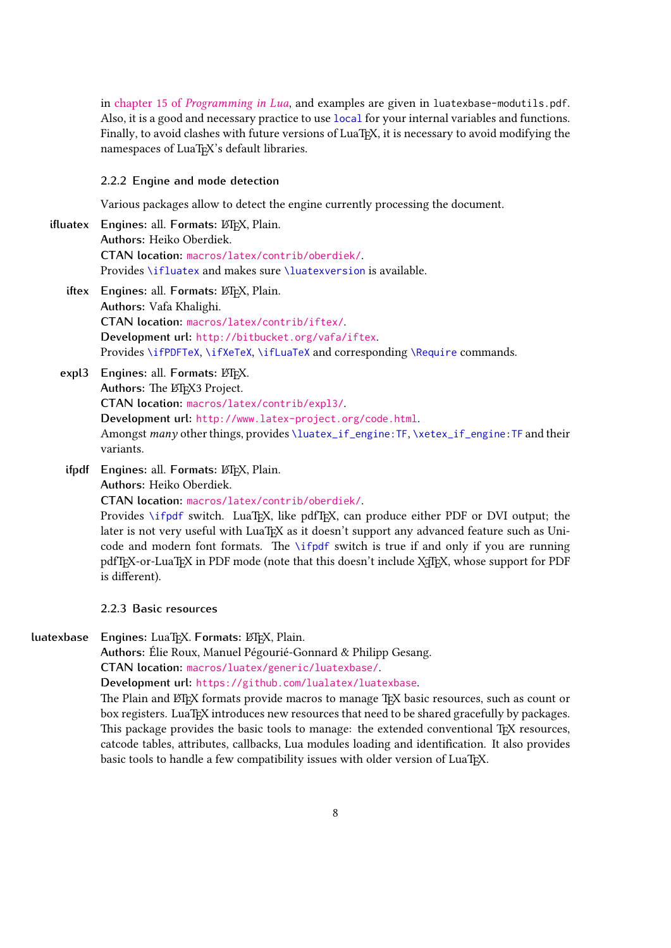in chapter 15 of [Programming in Lua](http://www.lua.org/pil/15.html), and examples are given in luatexbase-modutils.pdf. Also, it is a good and necessary practice to use local for your internal variables and functions. Finally, to avoid clashes with future versions of LuaT<sub>EX</sub>, it is necessary to avoid modifying the namespaces of LuaT<sub>E</sub>X's default libraries.

#### **2.2.2 Engine and mode detection**

Various packages allow to detect the engine currently processing the document.

- **ifluatex** Engines: all. Formats: LATEX, Plain. **Authors:** Heiko Oberdiek. **CTAN location:** [macros/latex/contrib/oberdiek/](http://mirror.ctan.org/macros/latex/contrib/oberdiek/). Provides \ifluatex and makes sure \luatexversion is available.
	- **iftex** Engines: all. Formats: LATEX, Plain. **Authors:** Vafa Khalighi. **CTAN location:** [macros/latex/contrib/iftex/](http://mirror.ctan.org/macros/latex/contrib/iftex/). **Development url:** <http://bitbucket.org/vafa/iftex>. Provides \ifPDFTeX, \ifXeTeX, \ifLuaTeX and corresponding \Require commands.
	- **expl3** Engines: all. Formats: LATEX. Authors: The LATEX3 Project. **CTAN location:** [macros/latex/contrib/expl3/](http://mirror.ctan.org/macros/latex/contrib/expl3/). **Development url:** <http://www.latex-project.org/code.html>. Amongst many other things, provides \luatex\_if\_engine:TF, \xetex\_if\_engine:TF and their variants.
	- **ifpdf** Engines: all. Formats: LATEX, Plain. **Authors:** Heiko Oberdiek. **CTAN location:** [macros/latex/contrib/oberdiek/](http://mirror.ctan.org/macros/latex/contrib/oberdiek/).

Provides \ifpdf switch. LuaTEX, like pdfTEX, can produce either PDF or DVI output; the later is not very useful with LuaT<sub>EX</sub> as it doesn't support any advanced feature such as Unicode and modern font formats. The  $\iota$ ifpdf switch is true if and only if you are running pdfT<sub>E</sub>X-or-LuaT<sub>E</sub>X in PDF mode (note that this doesn't include X<sub>T</sub>T<sub>E</sub>X, whose support for PDF is different).

- **2.2.3 Basic resources**
- **luatexbase** Engines: LuaT<sub>E</sub>X. Formats: LATEX, Plain.

<span id="page-7-0"></span>**Authors:** Élie Roux, Manuel Pégourié-Gonnard & Philipp Gesang. **CTAN location:** [macros/luatex/generic/luatexbase/](http://mirror.ctan.org/macros/luatex/generic/luatexbase/).

**Development url:** <https://github.com/lualatex/luatexbase>.

The Plain and LATEX formats provide macros to manage TEX basic resources, such as count or box registers. LuaT<sub>E</sub>X introduces new resources that need to be shared gracefully by packages. This package provides the basic tools to manage: the extended conventional  $T_FX$  resources, catcode tables, a琀ributes, callbacks, Lua modules loading and identification. It also provides basic tools to handle a few compatibility issues with older version of LuaTEX.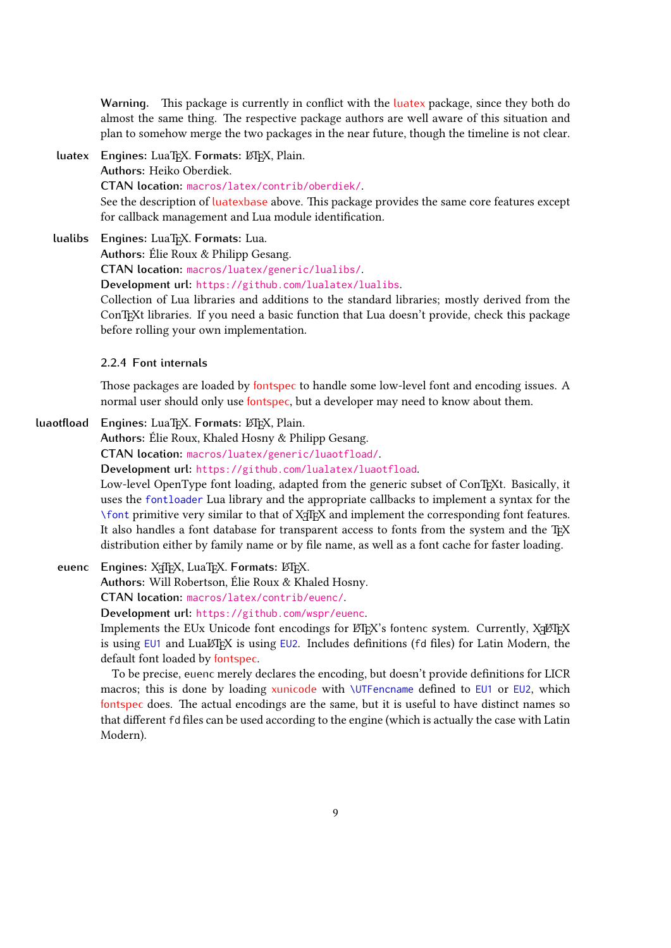Warning. This package is currently in conflict with the [luatex](#page-8-0) package, since they both do almost the same thing. The respective package authors are well aware of this situation and plan to somehow merge the two packages in the near future, though the timeline is not clear.

- <span id="page-8-0"></span>**luatex Engines:** LuaTEX. **Formats:** LATEX, Plain. **Authors:** Heiko Oberdiek. **CTAN location:** [macros/latex/contrib/oberdiek/](http://mirror.ctan.org/macros/latex/contrib/oberdiek/). See the description of [luatexbase](#page-7-0) above. This package provides the same core features except for callback management and Lua module identification.
- **lualibs Engines:** LuaTEX. **Formats:** Lua.

<span id="page-8-1"></span>**Authors:** Élie Roux & Philipp Gesang.

**CTAN location:** [macros/luatex/generic/lualibs/](http://mirror.ctan.org/macros/luatex/generic/lualibs/).

**Development url:** <https://github.com/lualatex/lualibs>.

Collection of Lua libraries and additions to the standard libraries; mostly derived from the ConTEXt libraries. If you need a basic function that Lua doesn't provide, check this package before rolling your own implementation.

## **2.2.4 Font internals**

Those packages are loaded by [fontspec](#page-6-4) to handle some low-level font and encoding issues. A normal user should only use [fontspec](#page-6-4), but a developer may need to know about them.

**luaotfload Engines:** LuaTEX. **Formats:** LATEX, Plain.

<span id="page-8-2"></span>**Authors:** Élie Roux, Khaled Hosny & Philipp Gesang.

**CTAN location:** [macros/luatex/generic/luaotfload/](http://mirror.ctan.org/macros/luatex/generic/luaotfload/).

**Development url:** <https://github.com/lualatex/luaotfload>.

Low-level OpenType font loading, adapted from the generic subset of ConTEXt. Basically, it uses the fontloader Lua library and the appropriate callbacks to implement a syntax for the \font primitive very similar to that of X TEEX and implement the corresponding font features. It also handles a font database for transparent access to fonts from the system and the TFX distribution either by family name or by file name, as well as a font cache for faster loading.

**euenc** Engines: X<sub>T</sub>T<sub>F</sub>X, LuaT<sub>F</sub>X. Formats: LTF<sub>K</sub>.

**Authors:** Will Robertson, Élie Roux & Khaled Hosny.

**CTAN location:** [macros/latex/contrib/euenc/](http://mirror.ctan.org/macros/latex/contrib/euenc/).

**Development url:** <https://github.com/wspr/euenc>.

Implements the EUx Unicode font encodings for LTEX's fontenc system. Currently, XALTEX is using  $EUI$  and  $Lu\Delta EFAX$  is using  $EU2$ . Includes definitions (fd files) for Latin Modern, the default font loaded by [fontspec](#page-6-4).

To be precise, euenc merely declares the encoding, but doesn't provide definitions for LICR macros; this is done by loading [xunicode](#page-12-3) with \UTFencname defined to EU1 or EU2, which [fontspec](#page-6-4) does. The actual encodings are the same, but it is useful to have distinct names so that different fd files can be used according to the engine (which is actually the case with Latin Modern).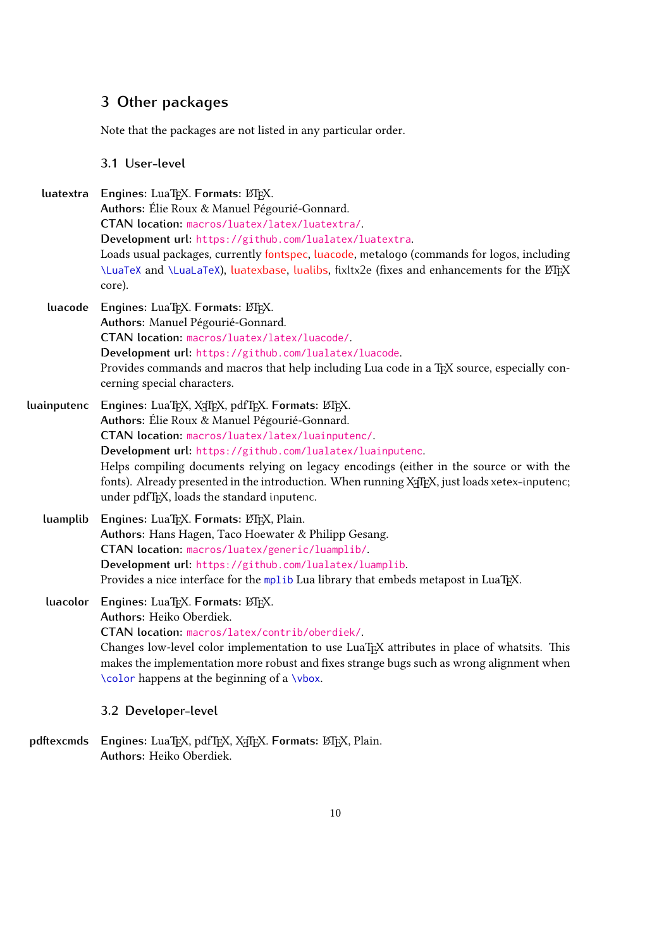# <span id="page-9-0"></span>**3 Other packages**

Note that the packages are not listed in any particular order.

# <span id="page-9-1"></span>**3.1 User-level**

**luatextra Engines:** LuaTEX. **Formats:** LATEX. **Authors:** Élie Roux & Manuel Pégourié-Gonnard. **CTAN location:** [macros/luatex/latex/luatextra/](http://mirror.ctan.org/macros/luatex/latex/luatextra/). **Development url:** <https://github.com/lualatex/luatextra>. Loads usual packages, currently [fontspec](#page-6-4), [luacode](#page-9-4), metalogo (commands for logos, including \LuaTeX and \LuaLaTeX), [luatexbase](#page-7-0), [lualibs](#page-8-1), fixltx2e (fixes and enhancements for the LATEX core).

- <span id="page-9-4"></span>**luacode** Engines: LuaT<sub>E</sub>X. Formats: ETEX. **Authors:** Manuel Pégourié-Gonnard. **CTAN location:** [macros/luatex/latex/luacode/](http://mirror.ctan.org/macros/luatex/latex/luacode/). **Development url:** <https://github.com/lualatex/luacode>. Provides commands and macros that help including Lua code in a TEX source, especially concerning special characters.
- <span id="page-9-3"></span>**luainputenc Engines:** LuaTEX, X TEEX, pdfTEX. **Formats:** LATEX. **Authors:** Élie Roux & Manuel Pégourié-Gonnard. **CTAN location:** [macros/luatex/latex/luainputenc/](http://mirror.ctan.org/macros/luatex/latex/luainputenc/). **Development url:** <https://github.com/lualatex/luainputenc>. Helps compiling documents relying on legacy encodings (either in the source or with the fonts). Already presented in the introduction. When running X<sub>T</sub>F<sub>E</sub>X, just loads xetex-inputenc; under pdfT<sub>F</sub>X, loads the standard inputenc.
	- **luamplib** Engines: LuaT<sub>E</sub>X. Formats: LATEX, Plain. **Authors:** Hans Hagen, Taco Hoewater & Philipp Gesang. **CTAN location:** [macros/luatex/generic/luamplib/](http://mirror.ctan.org/macros/luatex/generic/luamplib/). **Development url:** <https://github.com/lualatex/luamplib>. Provides a nice interface for the mplib Lua library that embeds metapost in LuaT<sub>E</sub>X.

**luacolor** Engines: LuaTEX. Formats: LATEX. **Authors:** Heiko Oberdiek. **CTAN location:** [macros/latex/contrib/oberdiek/](http://mirror.ctan.org/macros/latex/contrib/oberdiek/). Changes low-level color implementation to use LuaT<sub>EX</sub> attributes in place of whatsits. This makes the implementation more robust and fixes strange bugs such as wrong alignment when \color happens at the beginning of a \vbox.

- <span id="page-9-2"></span>**3.2 Developer-level**
- **pdftexcmds** Engines: LuaTEX, pdfTEX, X<sub>T</sub>TEX. Formats: LATEX, Plain. **Authors:** Heiko Oberdiek.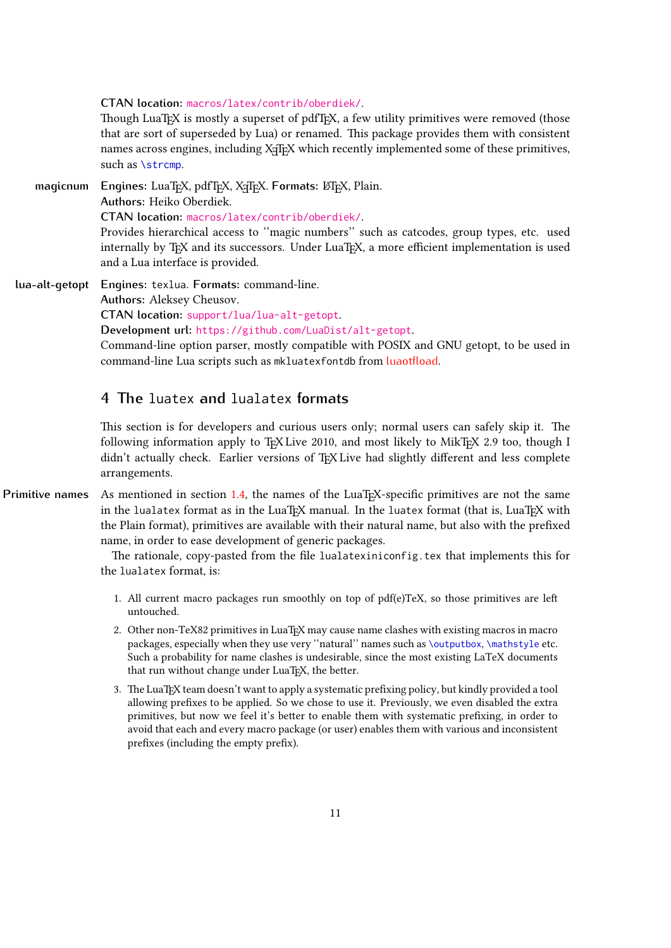#### **CTAN location:** [macros/latex/contrib/oberdiek/](http://mirror.ctan.org/macros/latex/contrib/oberdiek/).

Though LuaTEX is mostly a superset of pdfTEX, a few utility primitives were removed (those that are sort of superseded by Lua) or renamed. 吀is package provides them with consistent names across engines, including X<sub>T</sub>F<sub>E</sub>X which recently implemented some of these primitives, such as \strcmp.

**magicnum** Engines: LuaTEX, pdfTEX, X<sub>T</sub>TEX. Formats: LATEX, Plain. **Authors:** Heiko Oberdiek. **CTAN location:** [macros/latex/contrib/oberdiek/](http://mirror.ctan.org/macros/latex/contrib/oberdiek/). Provides hierarchical access to "magic numbers" such as catcodes, group types, etc. used internally by T<sub>E</sub>X and its successors. Under LuaT<sub>E</sub>X, a more efficient implementation is used and a Lua interface is provided.

**lua-alt-getopt Engines:** texlua. **Formats:** command-line. **Authors:** Aleksey Cheusov. **CTAN location:** [support/lua/lua-alt-getopt](http://mirror.ctan.org/support/lua/lua-alt-getopt). **Development url:** <https://github.com/LuaDist/alt-getopt>. Command-line option parser, mostly compatible with POSIX and GNU getopt, to be used in command-line Lua scripts such as mkluatexfontdb from [luaotfload](#page-8-2).

# <span id="page-10-0"></span>**4 吀e** luatex **and** lualatex **formats**

This section is for developers and curious users only; normal users can safely skip it. The following information apply to TEX Live 2010, and most likely to MikTEX 2.9 too, though I didn't actually check. Earlier versions of TEX Live had slightly different and less complete arrangements.

**Primitive names** As mentioned in section [1.4,](#page-5-0) the names of the LuaT<sub>EX</sub>-specific primitives are not the same in the lualatex format as in the LuaTEX manual. In the luatex format (that is, LuaTEX with the Plain format), primitives are available with their natural name, but also with the prefixed name, in order to ease development of generic packages.

> The rationale, copy-pasted from the file lualatexiniconfig.tex that implements this for the lualatex format, is:

- 1. All current macro packages run smoothly on top of  $pdf(e)TeX$ , so those primitives are left untouched.
- 2. Other non-TeX82 primitives in LuaT<sub>EX</sub> may cause name clashes with existing macros in macro packages, especially when they use very "natural" names such as \outputbox, \mathstyle etc. Such a probability for name clashes is undesirable, since the most existing LaTeX documents that run without change under LuaTEX, the better.
- 3. 吀e LuaTEX team doesn't want to apply a systematic prefixing policy, but kindly provided a tool allowing prefixes to be applied. So we chose to use it. Previously, we even disabled the extra primitives, but now we feel it's better to enable them with systematic prefixing, in order to avoid that each and every macro package (or user) enables them with various and inconsistent prefixes (including the empty prefix).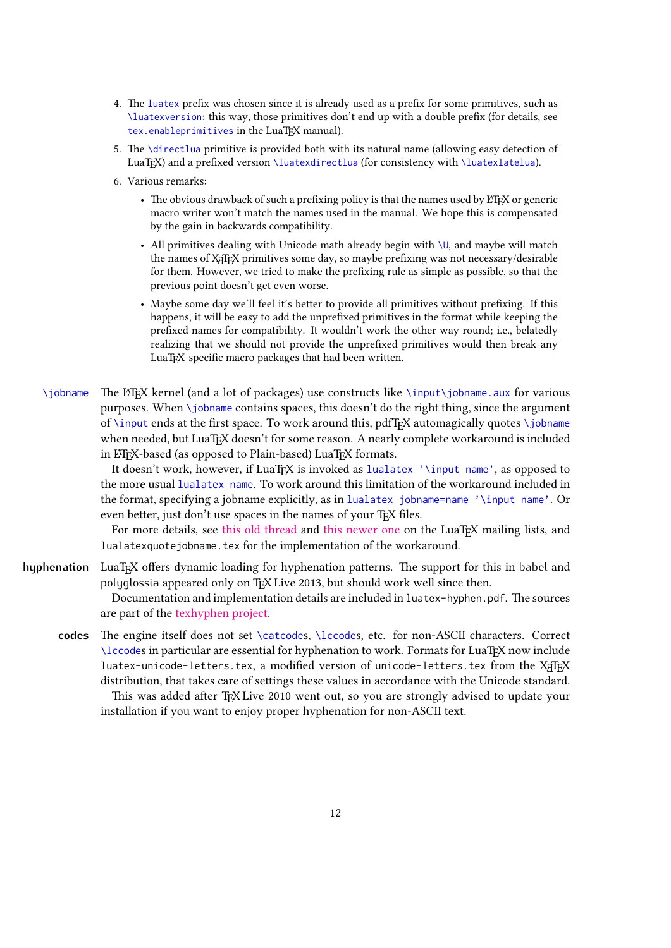- 4. 吀e luatex prefix was chosen since it is already used as a prefix for some primitives, such as \luatexversion: this way, those primitives don't end up with a double prefix (for details, see tex.enableprimitives in the LuaT<sub>EX</sub> manual).
- 5. The \directlua primitive is provided both with its natural name (allowing easy detection of LuaT<sub>EX</sub>) and a prefixed version \luatexdirectlua (for consistency with \luatexlatelua).
- 6. Various remarks:
	- The obvious drawback of such a prefixing policy is that the names used by ETEX or generic macro writer won't match the names used in the manual. We hope this is compensated by the gain in backwards compatibility.
	- All primitives dealing with Unicode math already begin with  $\setminus \mathsf{U}$ , and maybe will match the names of X<sub>T</sub>IF<sub>X</sub> primitives some day, so maybe prefixing was not necessary/desirable for them. However, we tried to make the prefixing rule as simple as possible, so that the previous point doesn't get even worse.
	- Maybe some day we'll feel it's better to provide all primitives without prefixing. If this happens, it will be easy to add the unprefixed primitives in the format while keeping the prefixed names for compatibility. It wouldn't work the other way round; i.e., belatedly realizing that we should not provide the unprefixed primitives would then break any LuaTEX-specific macro packages that had been written.
- <span id="page-11-0"></span> $\iota$ jobname The LATEX kernel (and a lot of packages) use constructs like  $\iota$ input $\iota$ jobname.aux for various purposes. When \jobname contains spaces, this doesn't do the right thing, since the argument of \input ends at the first space. To work around this, pdfTEX automagically quotes \jobname when needed, but LuaTEX doesn't for some reason. A nearly complete workaround is included in LATEX-based (as opposed to Plain-based) LuaTEX formats.

It doesn't work, however, if LuaT<sub>EX</sub> is invoked as lualatex '\input name', as opposed to the more usual lualatex name. To work around this limitation of the workaround included in the format, specifying a jobname explicitly, as in lualatex jobname=name '\input name'. Or even better, just don't use spaces in the names of your TFX files.

For more details, see [this old thread](http://www.ntg.nl/pipermail/dev-luatex/2009-April/002549.html) and [this newer one](http://tug.org/pipermail/luatex/2010-August/001986.html) on the LuaT<sub>EX</sub> mailing lists, and lualatexquotejobname.tex for the implementation of the workaround.

- **hyphenation** LuaT<sub>E</sub>X offers dynamic loading for hyphenation patterns. The support for this in babel and polyglossia appeared only on TFX Live 2013, but should work well since then. Documentation and implementation details are included in luatex-hyphen.pdf. The sources are part of the [texhyphen project.](http://tug.org/tex-hyphen/)
	- codes The engine itself does not set \catcodes, \lccodes, etc. for non-ASCII characters. Correct \lccodes in particular are essential for hyphenation to work. Formats for LuaTEX now include luatex-unicode-letters.tex, a modified version of unicode-letters.tex from the X TEX distribution, that takes care of settings these values in accordance with the Unicode standard.

This was added after TEX Live 2010 went out, so you are strongly advised to update your installation if you want to enjoy proper hyphenation for non-ASCII text.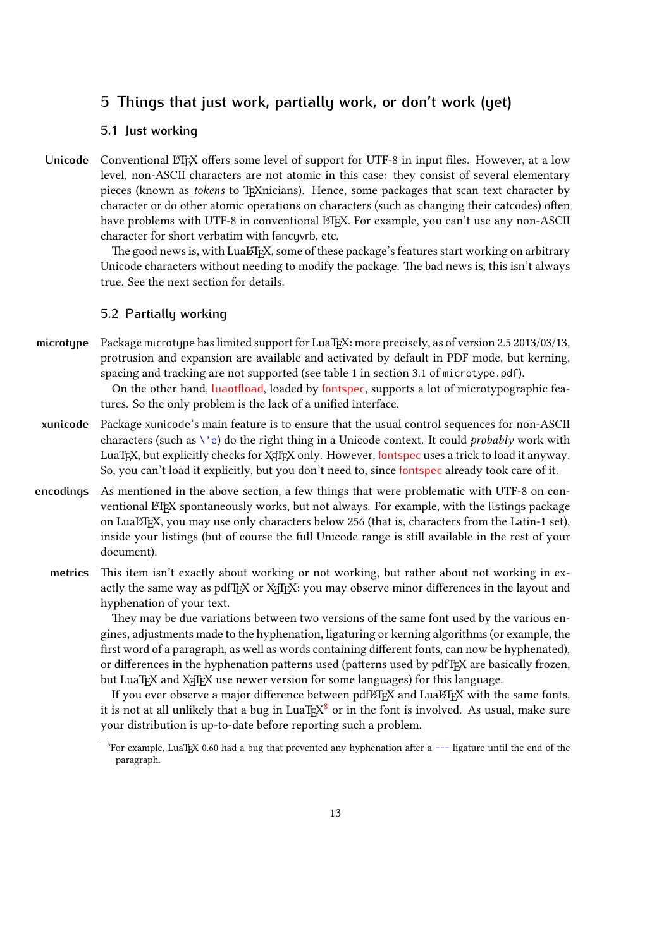# <span id="page-12-0"></span>**5 吀ings that just work, partially work, or don't work (yet)**

# <span id="page-12-1"></span>**5.1 Just working**

Unicode Conventional LATEX offers some level of support for UTF-8 in input files. However, at a low level, non-ASCII characters are not atomic in this case: they consist of several elementary pieces (known as tokens to T<sub>E</sub>Xnicians). Hence, some packages that scan text character by character or do other atomic operations on characters (such as changing their catcodes) often have problems with UTF-8 in conventional LATEX. For example, you can't use any non-ASCII character for short verbatim with fancyvrb, etc.

> The good news is, with LuaL<sup>AT</sup>FX, some of these package's features start working on arbitrary Unicode characters without needing to modify the package. The bad news is, this isn't always true. See the next section for details.

# <span id="page-12-2"></span>**5.2 Partially working**

microtype Package microtype has limited support for LuaT<sub>E</sub>X: more precisely, as of version 2.5 2013/03/13, protrusion and expansion are available and activated by default in PDF mode, but kerning, spacing and tracking are not supported (see table 1 in section 3.1 of microtype.pdf). On the other hand, [luaotfload](#page-8-2), loaded by [fontspec](#page-6-4), supports a lot of microtypographic fea-

<span id="page-12-3"></span>tures. So the only problem is the lack of a unified interface.

- **xunicode** Package xunicode's main feature is to ensure that the usual control sequences for non-ASCII characters (such as  $\backslash$ 'e) do the right thing in a Unicode context. It could *probably* work with LuaT<sub>E</sub>X, but explicitly checks for X<sub>T</sub>T<sub>E</sub>X only. However, [fontspec](#page-6-4) uses a trick to load it anyway. So, you can't load it explicitly, but you don't need to, since [fontspec](#page-6-4) already took care of it.
- **encodings** As mentioned in the above section, a few things that were problematic with UTF-8 on conventional LTFX spontaneously works, but not always. For example, with the listings package on LuaLTFX, you may use only characters below 256 (that is, characters from the Latin-1 set), inside your listings (but of course the full Unicode range is still available in the rest of your document).
	- metrics This item isn't exactly about working or not working, but rather about not working in exactly the same way as pdfTEX or XATEX: you may observe minor differences in the layout and hyphenation of your text.

They may be due variations between two versions of the same font used by the various engines, adjustments made to the hyphenation, ligaturing or kerning algorithms (or example, the first word of a paragraph, as well as words containing different fonts, can now be hyphenated), or differences in the hyphenation patterns used (patterns used by pdfT<sub>F</sub>X are basically frozen, but LuaTEX and X<sub>T</sub>TEX use newer version for some languages) for this language.

If you ever observe a major difference between pdfLTFX and LuaLTFX with the same fonts, it is not at all unlikely that a bug in LuaT $EX^8$  $EX^8$  or in the font is involved. As usual, make sure your distribution is up-to-date before reporting such a problem.

<span id="page-12-4"></span> $8$ For example, LuaTEX 0.60 had a bug that prevented any hyphenation after a --- ligature until the end of the paragraph.